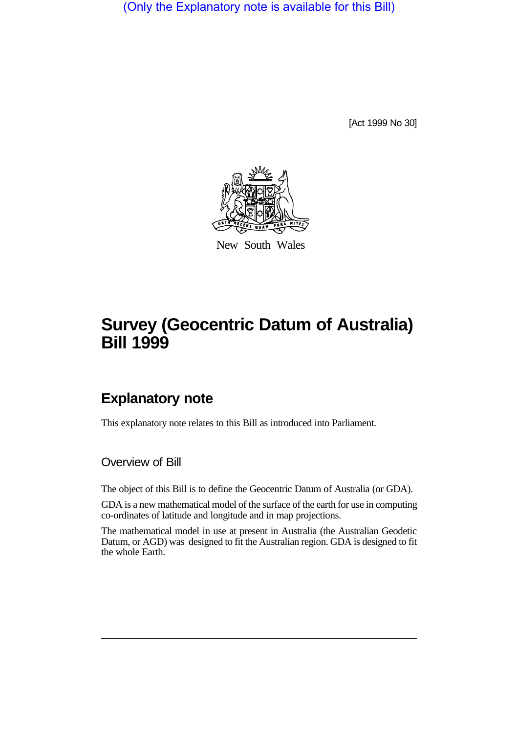(Only the Explanatory note is available for this Bill)

[Act 1999 No 30]



New South Wales

# **Survey (Geocentric Datum of Australia) Bill 1999**

## **Explanatory note**

This explanatory note relates to this Bill as introduced into Parliament.

Overview of Bill

The object of this Bill is to define the Geocentric Datum of Australia (or GDA).

GDA is a new mathematical model of the surface of the earth for use in computing co-ordinates of latitude and longitude and in map projections.

The mathematical model in use at present in Australia (the Australian Geodetic Datum, or AGD) was designed to fit the Australian region. GDA is designed to fit the whole Earth.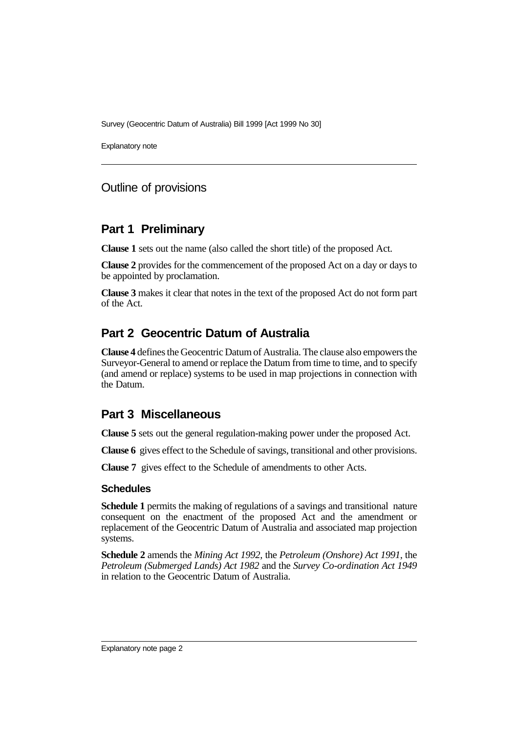Survey (Geocentric Datum of Australia) Bill 1999 [Act 1999 No 30]

Explanatory note

#### Outline of provisions

#### **Part 1 Preliminary**

**Clause 1** sets out the name (also called the short title) of the proposed Act.

**Clause 2** provides for the commencement of the proposed Act on a day or days to be appointed by proclamation.

**Clause 3** makes it clear that notes in the text of the proposed Act do not form part of the Act.

### **Part 2 Geocentric Datum of Australia**

**Clause 4** defines the Geocentric Datum of Australia. The clause also empowers the Surveyor-General to amend or replace the Datum from time to time, and to specify (and amend or replace) systems to be used in map projections in connection with the Datum.

#### **Part 3 Miscellaneous**

**Clause 5** sets out the general regulation-making power under the proposed Act.

**Clause 6** gives effect to the Schedule of savings, transitional and other provisions.

**Clause 7** gives effect to the Schedule of amendments to other Acts.

#### **Schedules**

**Schedule 1** permits the making of regulations of a savings and transitional nature consequent on the enactment of the proposed Act and the amendment or replacement of the Geocentric Datum of Australia and associated map projection systems.

**Schedule 2** amends the *Mining Act 1992*, the *Petroleum (Onshore) Act 1991*, the *Petroleum (Submerged Lands) Act 1982* and the *Survey Co-ordination Act 1949* in relation to the Geocentric Datum of Australia.